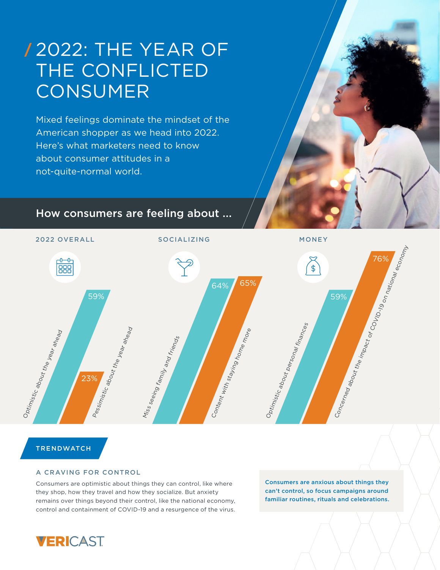# 2022: THE YEAR OF THE CONFLICTED **CONSUMER**

Mixed feelings dominate the mindset of the American shopper as we head into 2022. Here's what marketers need to know about consumer attitudes in a not-quite-normal world.

## How consumers are feeling about ...



## **TRENDWATCH**

### A CRAVING FOR CONTROL

Consumers are optimistic about things they can control, like where they shop, how they travel and how they socialize. But anxiety remains over things beyond their control, like the national economy, control and containment of COVID-19 and a resurgence of the virus.

Consumers are anxious about things they can't control, so focus campaigns around familiar routines, rituals and celebrations.